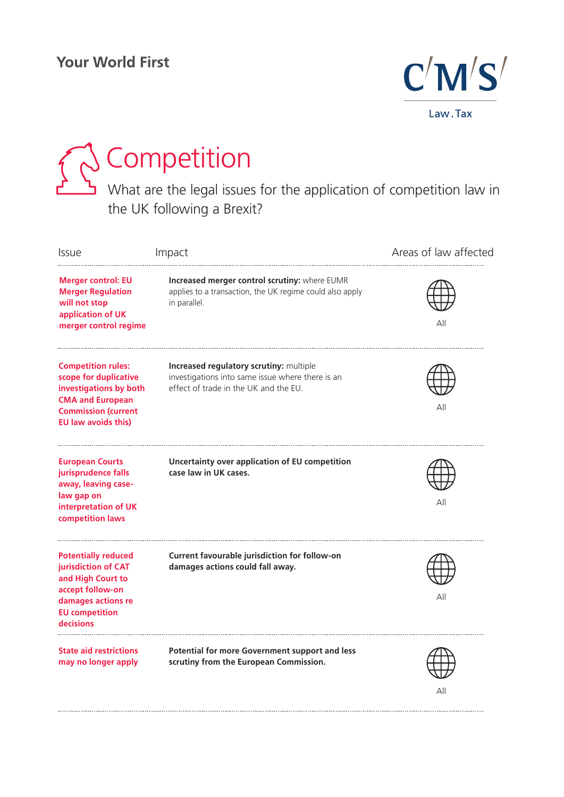

# Competition

What are the legal issues for the application of competition law in the UK following a Brexit?

| <i><b>Issue</b></i>                                                                                                                                                 | Impact                                                                                                                               | Areas of law affected |
|---------------------------------------------------------------------------------------------------------------------------------------------------------------------|--------------------------------------------------------------------------------------------------------------------------------------|-----------------------|
| <b>Merger control: EU</b><br><b>Merger Regulation</b><br>will not stop<br>application of UK<br>merger control regime                                                | Increased merger control scrutiny: where EUMR<br>applies to a transaction, the UK regime could also apply<br>in parallel.            | ΑII                   |
| <b>Competition rules:</b><br>scope for duplicative<br>investigations by both<br><b>CMA and European</b><br><b>Commission (current</b><br><b>EU law avoids this)</b> | Increased regulatory scrutiny: multiple<br>investigations into same issue where there is an<br>effect of trade in the UK and the EU. | Αll                   |
| <b>European Courts</b><br>jurisprudence falls<br>away, leaving case-<br>law gap on<br>interpretation of UK<br>competition laws                                      | Uncertainty over application of EU competition<br>case law in UK cases.                                                              | All                   |
| <b>Potentially reduced</b><br>jurisdiction of CAT<br>and High Court to<br>accept follow-on<br>damages actions re<br><b>EU</b> competition<br>decisions              | Current favourable jurisdiction for follow-on<br>damages actions could fall away.                                                    | All                   |
| <b>State aid restrictions</b><br>may no longer apply                                                                                                                | Potential for more Government support and less<br>scrutiny from the European Commission.                                             |                       |